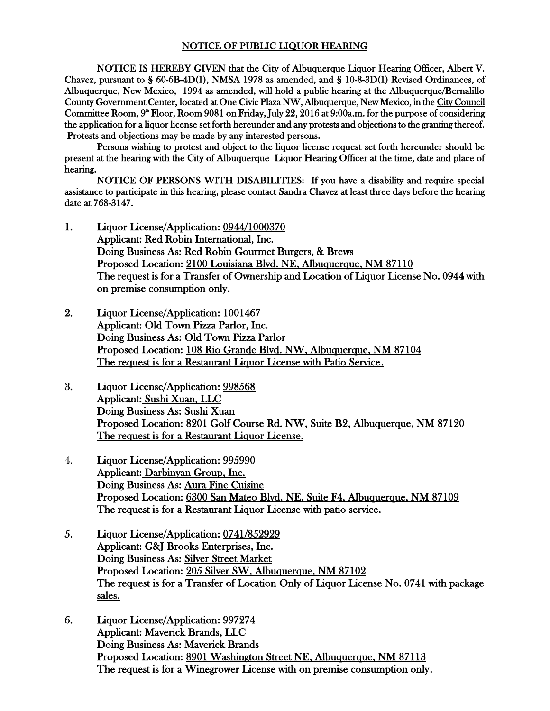## NOTICE OF PUBLIC LIQUOR HEARING

NOTICE IS HEREBY GIVEN that the City of Albuquerque Liquor Hearing Officer, Albert V. Chavez, pursuant to § 60-6B-4D(1), NMSA 1978 as amended, and § 10-8-3D(1) Revised Ordinances, of Albuquerque, New Mexico, 1994 as amended, will hold a public hearing at the Albuquerque/Bernalillo County Government Center, located at One Civic Plaza NW, Albuquerque, New Mexico, in the City Council Committee Room,  $9^{\omega}$  Floor, Room 9081 on Friday, July 22, 2016 at 9:00a.m. for the purpose of considering the application for a liquor license set forth hereunder and any protests and objections to the granting thereof. Protests and objections may be made by any interested persons.

Persons wishing to protest and object to the liquor license request set forth hereunder should be present at the hearing with the City of Albuquerque Liquor Hearing Officer at the time, date and place of hearing.

NOTICE OF PERSONS WITH DISABILITIES: If you have a disability and require special assistance to participate in this hearing, please contact Sandra Chavez at least three days before the hearing date at 768-3147.

- 1. Liquor License/Application: 0944/1000370 Applicant: Red Robin International, Inc. Doing Business As: Red Robin Gourmet Burgers, & Brews Proposed Location: 2100 Louisiana Blvd. NE, Albuquerque, NM 87110 The request is for a Transfer of Ownership and Location of Liquor License No. 0944 with on premise consumption only.
- 2. Liquor License/Application: 1001467 Applicant: Old Town Pizza Parlor, Inc. Doing Business As: Old Town Pizza Parlor Proposed Location: 108 Rio Grande Blvd. NW, Albuquerque, NM 87104 The request is for a Restaurant Liquor License with Patio Service.
- 3. Liquor License/Application: 998568 Applicant: Sushi Xuan, LLC Doing Business As: Sushi Xuan Proposed Location: 8201 Golf Course Rd. NW, Suite B2, Albuquerque, NM 87120 The request is for a Restaurant Liquor License.
- 4. Liquor License/Application: 995990 Applicant: Darbinyan Group, Inc. Doing Business As: Aura Fine Cuisine Proposed Location: 6300 San Mateo Blvd. NE, Suite F4, Albuquerque, NM 87109 The request is for a Restaurant Liquor License with patio service.
- 5. Liquor License/Application: 0741/852929 Applicant: G&J Brooks Enterprises, Inc. Doing Business As: Silver Street Market Proposed Location: 205 Silver SW, Albuquerque, NM 87102 The request is for a Transfer of Location Only of Liquor License No. 0741 with package sales.
- 6. Liquor License/Application: 997274 Applicant: Maverick Brands, LLC Doing Business As: Maverick Brands Proposed Location: 8901 Washington Street NE, Albuquerque, NM 87113 The request is for a Winegrower License with on premise consumption only.